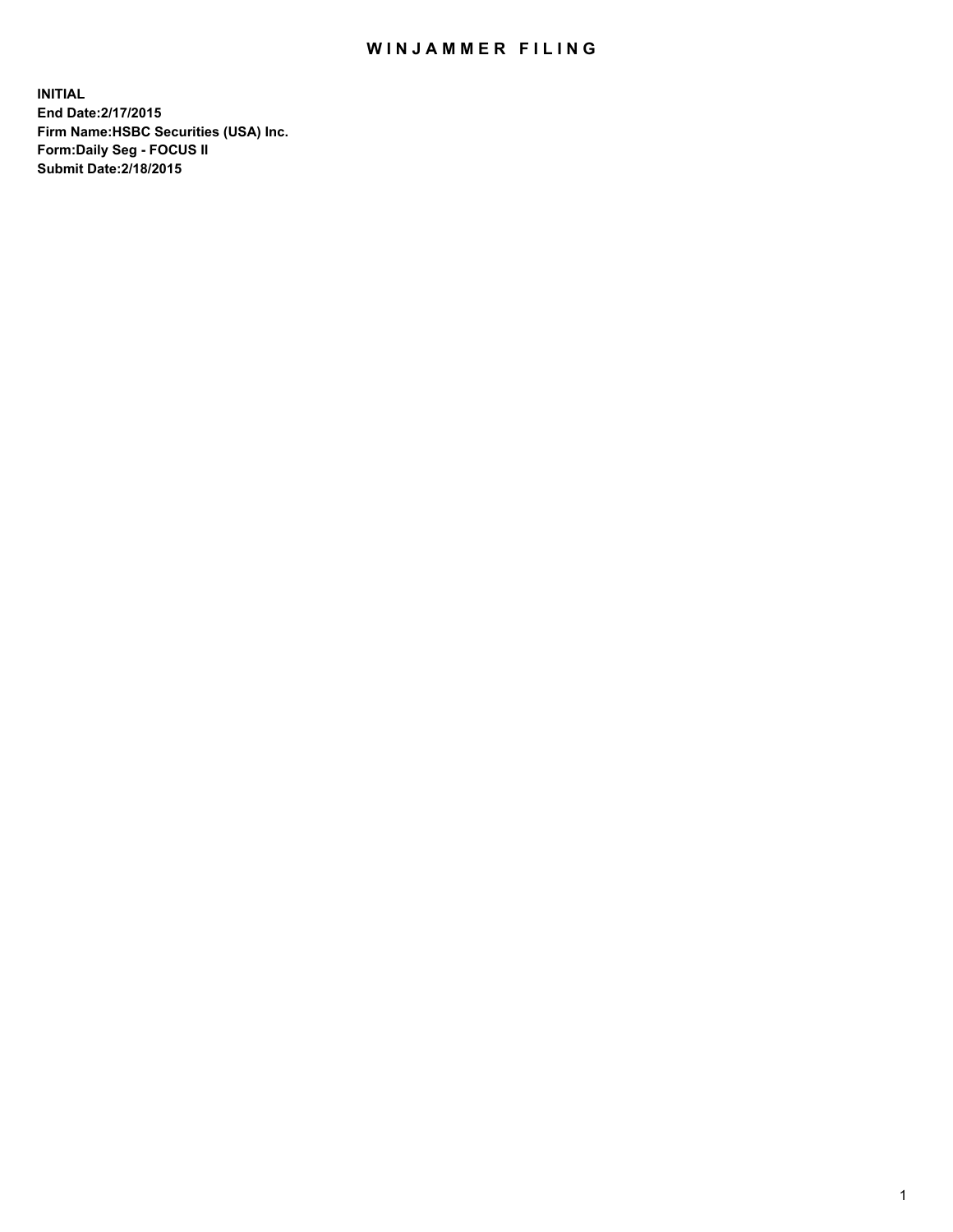## WIN JAMMER FILING

**INITIAL End Date:2/17/2015 Firm Name:HSBC Securities (USA) Inc. Form:Daily Seg - FOCUS II Submit Date:2/18/2015**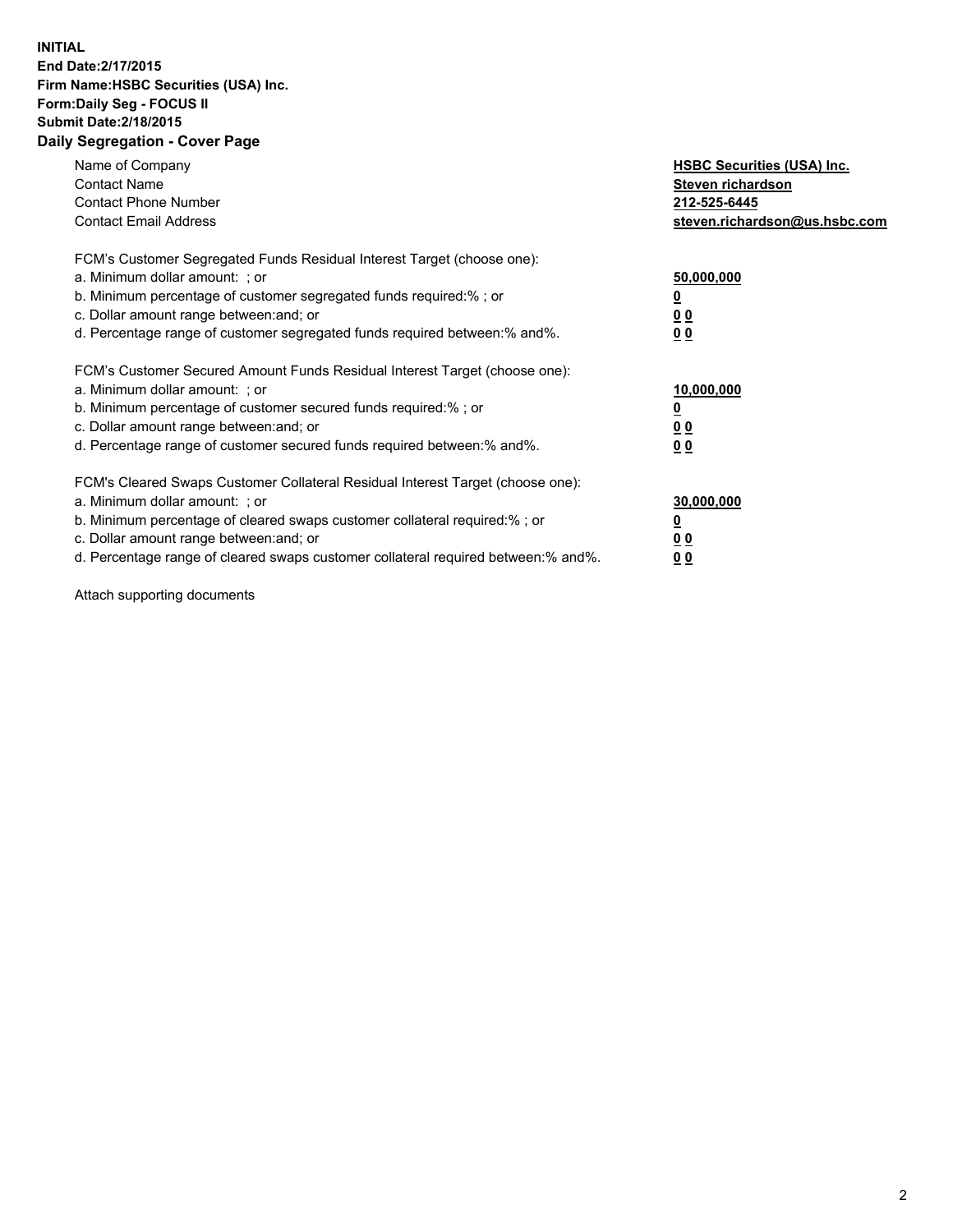## **INITIAL End Date:2/17/2015 Firm Name:HSBC Securities (USA) Inc. Form:Daily Seg - FOCUS II Submit Date:2/18/2015 Daily Segregation - Cover Page**

| Name of Company<br><b>Contact Name</b><br><b>Contact Phone Number</b><br><b>Contact Email Address</b>                                                                                                                                                                                                                         | <b>HSBC Securities (USA) Inc.</b><br>Steven richardson<br>212-525-6445<br>steven.richardson@us.hsbc.com |
|-------------------------------------------------------------------------------------------------------------------------------------------------------------------------------------------------------------------------------------------------------------------------------------------------------------------------------|---------------------------------------------------------------------------------------------------------|
| FCM's Customer Segregated Funds Residual Interest Target (choose one):<br>a. Minimum dollar amount: ; or<br>b. Minimum percentage of customer segregated funds required:%; or<br>c. Dollar amount range between: and; or<br>d. Percentage range of customer segregated funds required between:% and%.                         | 50,000,000<br>00<br>0 <sub>0</sub>                                                                      |
| FCM's Customer Secured Amount Funds Residual Interest Target (choose one):<br>a. Minimum dollar amount: ; or<br>b. Minimum percentage of customer secured funds required:%; or<br>c. Dollar amount range between: and; or<br>d. Percentage range of customer secured funds required between:% and%.                           | 10,000,000<br>0 <sub>0</sub><br>00                                                                      |
| FCM's Cleared Swaps Customer Collateral Residual Interest Target (choose one):<br>a. Minimum dollar amount: ; or<br>b. Minimum percentage of cleared swaps customer collateral required:%; or<br>c. Dollar amount range between: and; or<br>d. Percentage range of cleared swaps customer collateral required between:% and%. | 30,000,000<br><u>00</u><br><u>00</u>                                                                    |

Attach supporting documents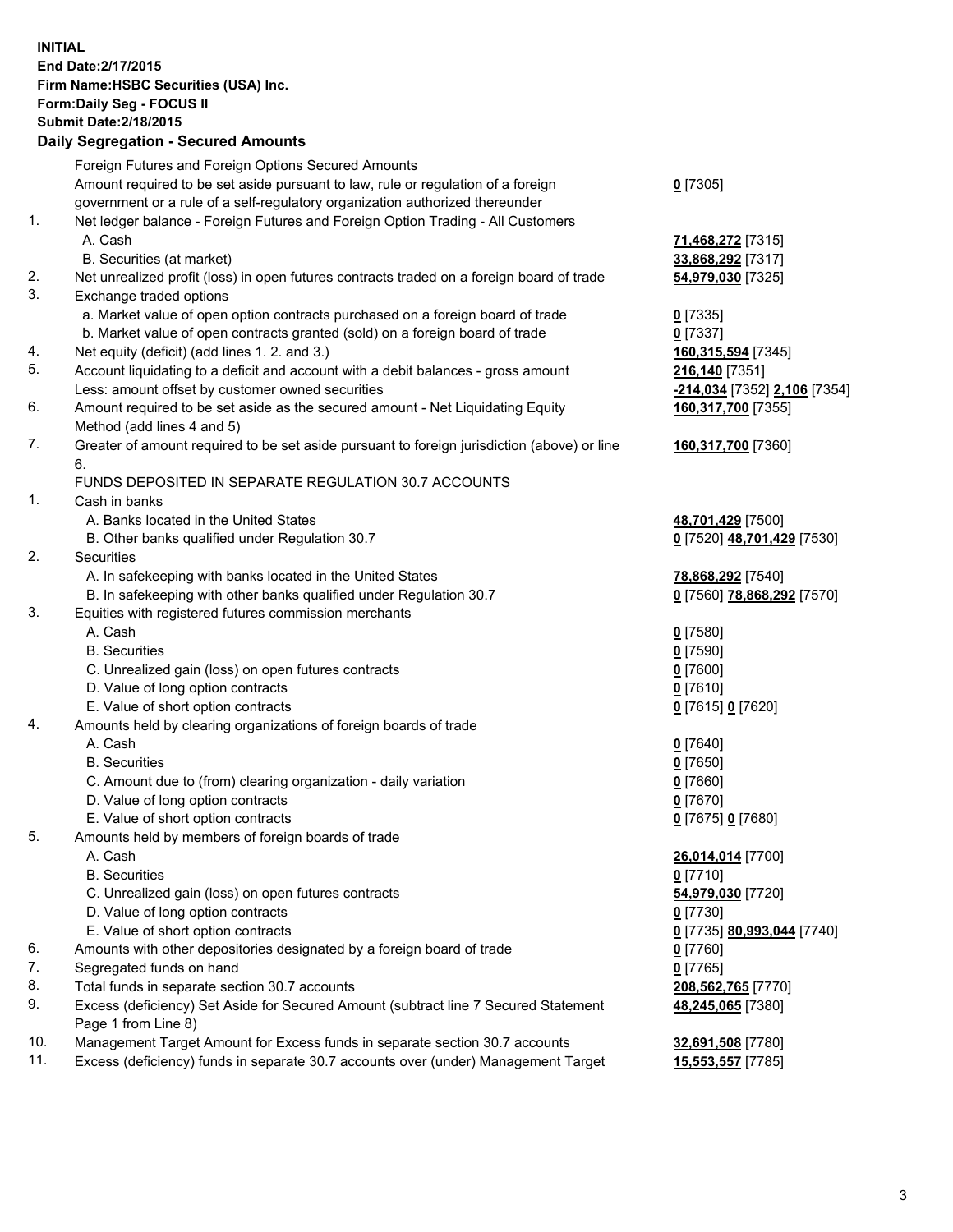**INITIAL End Date:2/17/2015 Firm Name:HSBC Securities (USA) Inc. Form:Daily Seg - FOCUS II Submit Date:2/18/2015 Daily Segregation - Secured Amounts**

|     | Foreign Futures and Foreign Options Secured Amounts                                         |                              |
|-----|---------------------------------------------------------------------------------------------|------------------------------|
|     | Amount required to be set aside pursuant to law, rule or regulation of a foreign            | $0$ [7305]                   |
|     | government or a rule of a self-regulatory organization authorized thereunder                |                              |
| 1.  | Net ledger balance - Foreign Futures and Foreign Option Trading - All Customers             |                              |
|     | A. Cash                                                                                     | 71,468,272 [7315]            |
|     | B. Securities (at market)                                                                   | 33,868,292 [7317]            |
| 2.  | Net unrealized profit (loss) in open futures contracts traded on a foreign board of trade   | 54,979,030 [7325]            |
| 3.  | Exchange traded options                                                                     |                              |
|     | a. Market value of open option contracts purchased on a foreign board of trade              | $0$ [7335]                   |
|     | b. Market value of open contracts granted (sold) on a foreign board of trade                | $0$ [7337]                   |
| 4.  | Net equity (deficit) (add lines 1.2. and 3.)                                                | 160,315,594 [7345]           |
| 5.  | Account liquidating to a deficit and account with a debit balances - gross amount           | 216,140 [7351]               |
|     | Less: amount offset by customer owned securities                                            | -214,034 [7352] 2,106 [7354] |
| 6.  | Amount required to be set aside as the secured amount - Net Liquidating Equity              | 160,317,700 [7355]           |
|     | Method (add lines 4 and 5)                                                                  |                              |
| 7.  | Greater of amount required to be set aside pursuant to foreign jurisdiction (above) or line | 160,317,700 [7360]           |
|     | 6.                                                                                          |                              |
|     | FUNDS DEPOSITED IN SEPARATE REGULATION 30.7 ACCOUNTS                                        |                              |
| 1.  | Cash in banks                                                                               |                              |
|     | A. Banks located in the United States                                                       | 48,701,429 [7500]            |
|     | B. Other banks qualified under Regulation 30.7                                              | 0 [7520] 48,701,429 [7530]   |
| 2.  | Securities                                                                                  |                              |
|     | A. In safekeeping with banks located in the United States                                   | 78,868,292 [7540]            |
|     | B. In safekeeping with other banks qualified under Regulation 30.7                          | 0 [7560] 78,868,292 [7570]   |
| 3.  | Equities with registered futures commission merchants                                       |                              |
|     | A. Cash                                                                                     | $0$ [7580]                   |
|     | <b>B.</b> Securities                                                                        | $0$ [7590]                   |
|     | C. Unrealized gain (loss) on open futures contracts                                         | $0$ [7600]                   |
|     | D. Value of long option contracts                                                           | $0$ [7610]                   |
|     | E. Value of short option contracts                                                          | 0 [7615] 0 [7620]            |
| 4.  | Amounts held by clearing organizations of foreign boards of trade                           |                              |
|     | A. Cash                                                                                     | $0$ [7640]                   |
|     | <b>B.</b> Securities                                                                        | $0$ [7650]                   |
|     | C. Amount due to (from) clearing organization - daily variation                             | $0$ [7660]                   |
|     | D. Value of long option contracts                                                           | $0$ [7670]                   |
|     | E. Value of short option contracts                                                          | 0 [7675] 0 [7680]            |
| 5.  | Amounts held by members of foreign boards of trade                                          |                              |
|     | A. Cash                                                                                     | 26,014,014 [7700]            |
|     | <b>B.</b> Securities                                                                        | $0$ [7710]                   |
|     | C. Unrealized gain (loss) on open futures contracts                                         | 54,979,030 [7720]            |
|     | D. Value of long option contracts                                                           | $0$ [7730]                   |
|     | E. Value of short option contracts                                                          | 0 [7735] 80,993,044 [7740]   |
| 6.  | Amounts with other depositories designated by a foreign board of trade                      | 0 [7760]                     |
| 7.  | Segregated funds on hand                                                                    | $0$ [7765]                   |
| 8.  | Total funds in separate section 30.7 accounts                                               | 208,562,765 [7770]           |
| 9.  | Excess (deficiency) Set Aside for Secured Amount (subtract line 7 Secured Statement         | 48,245,065 [7380]            |
|     | Page 1 from Line 8)                                                                         |                              |
| 10. | Management Target Amount for Excess funds in separate section 30.7 accounts                 | 32,691,508 [7780]            |
| 11. | Excess (deficiency) funds in separate 30.7 accounts over (under) Management Target          | 15,553,557 [7785]            |
|     |                                                                                             |                              |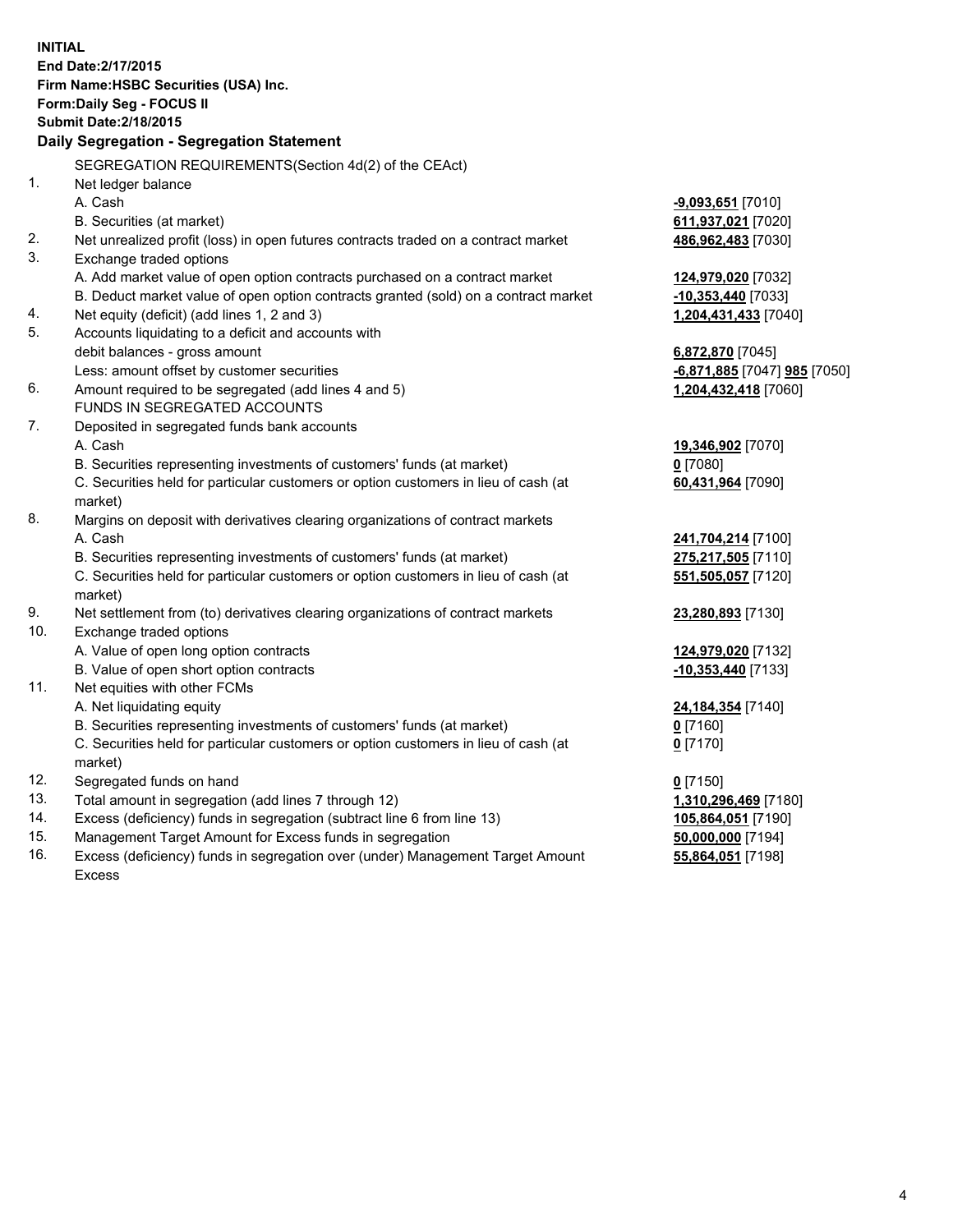| <b>INITIAL</b>                        |                                                                                                |                              |  |  |  |
|---------------------------------------|------------------------------------------------------------------------------------------------|------------------------------|--|--|--|
|                                       | End Date: 2/17/2015                                                                            |                              |  |  |  |
| Firm Name: HSBC Securities (USA) Inc. |                                                                                                |                              |  |  |  |
|                                       | Form: Daily Seg - FOCUS II                                                                     |                              |  |  |  |
|                                       | <b>Submit Date: 2/18/2015</b>                                                                  |                              |  |  |  |
|                                       | Daily Segregation - Segregation Statement                                                      |                              |  |  |  |
|                                       | SEGREGATION REQUIREMENTS(Section 4d(2) of the CEAct)                                           |                              |  |  |  |
| 1.                                    | Net ledger balance                                                                             |                              |  |  |  |
|                                       | A. Cash                                                                                        | $-9,093,651$ [7010]          |  |  |  |
|                                       | B. Securities (at market)                                                                      | 611,937,021 [7020]           |  |  |  |
| 2.                                    | Net unrealized profit (loss) in open futures contracts traded on a contract market             | 486,962,483 [7030]           |  |  |  |
| 3.                                    | Exchange traded options                                                                        |                              |  |  |  |
|                                       | A. Add market value of open option contracts purchased on a contract market                    | 124,979,020 [7032]           |  |  |  |
|                                       | B. Deduct market value of open option contracts granted (sold) on a contract market            | $-10,353,440$ [7033]         |  |  |  |
| 4.                                    | Net equity (deficit) (add lines 1, 2 and 3)                                                    | 1,204,431,433 [7040]         |  |  |  |
| 5.                                    | Accounts liquidating to a deficit and accounts with                                            |                              |  |  |  |
|                                       | debit balances - gross amount                                                                  | 6,872,870 [7045]             |  |  |  |
|                                       | Less: amount offset by customer securities                                                     | -6,871,885 [7047] 985 [7050] |  |  |  |
| 6.                                    | Amount required to be segregated (add lines 4 and 5)                                           | 1,204,432,418 [7060]         |  |  |  |
|                                       | FUNDS IN SEGREGATED ACCOUNTS                                                                   |                              |  |  |  |
| 7.                                    | Deposited in segregated funds bank accounts                                                    |                              |  |  |  |
|                                       | A. Cash                                                                                        | 19,346,902 [7070]            |  |  |  |
|                                       | B. Securities representing investments of customers' funds (at market)                         | $0$ [7080]                   |  |  |  |
|                                       | C. Securities held for particular customers or option customers in lieu of cash (at            | 60,431,964 [7090]            |  |  |  |
|                                       | market)                                                                                        |                              |  |  |  |
| 8.                                    | Margins on deposit with derivatives clearing organizations of contract markets                 |                              |  |  |  |
|                                       | A. Cash                                                                                        | 241,704,214 [7100]           |  |  |  |
|                                       | B. Securities representing investments of customers' funds (at market)                         | 275,217,505 [7110]           |  |  |  |
|                                       | C. Securities held for particular customers or option customers in lieu of cash (at            | 551,505,057 [7120]           |  |  |  |
|                                       | market)                                                                                        |                              |  |  |  |
| 9.                                    | Net settlement from (to) derivatives clearing organizations of contract markets                | 23,280,893 [7130]            |  |  |  |
| 10.                                   | Exchange traded options                                                                        |                              |  |  |  |
|                                       | A. Value of open long option contracts                                                         | 124,979,020 [7132]           |  |  |  |
|                                       | B. Value of open short option contracts                                                        | $-10,353,440$ [7133]         |  |  |  |
| 11.                                   | Net equities with other FCMs                                                                   |                              |  |  |  |
|                                       | A. Net liquidating equity                                                                      | 24,184,354 [7140]            |  |  |  |
|                                       | B. Securities representing investments of customers' funds (at market)                         | 0 [7160]                     |  |  |  |
|                                       | C. Securities held for particular customers or option customers in lieu of cash (at<br>market) | $0$ [7170]                   |  |  |  |
| 12.                                   | Segregated funds on hand                                                                       | $0$ [7150]                   |  |  |  |
| 13.                                   | Total amount in segregation (add lines 7 through 12)                                           | 1,310,296,469 [7180]         |  |  |  |
| 14.                                   | Excess (deficiency) funds in segregation (subtract line 6 from line 13)                        | 105,864,051 [7190]           |  |  |  |
| 15.                                   | Management Target Amount for Excess funds in segregation                                       | 50,000,000 [7194]            |  |  |  |
| 16.                                   | Excess (deficiency) funds in segregation over (under) Management Target Amount                 | 55,864,051 [7198]            |  |  |  |

16. Excess (deficiency) funds in segregation over (under) Management Target Amount Excess